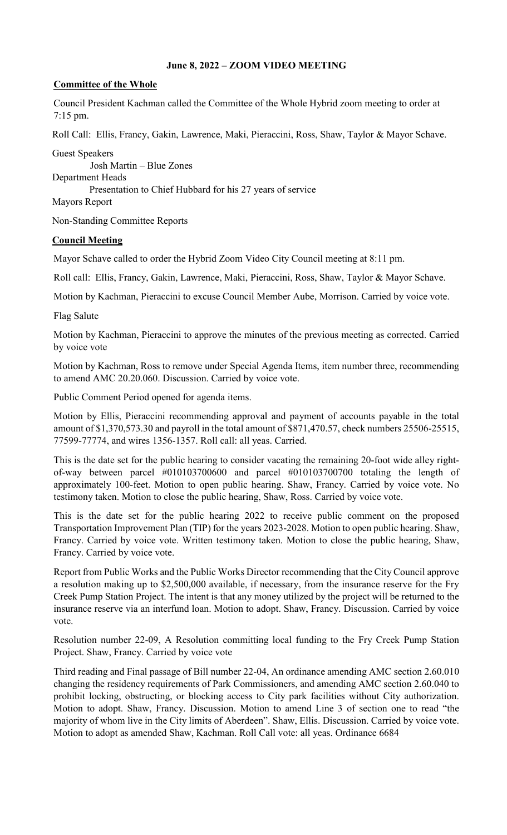## **June 8, 2022 – ZOOM VIDEO MEETING**

## **Committee of the Whole**

Council President Kachman called the Committee of the Whole Hybrid zoom meeting to order at 7:15 pm.

Roll Call: Ellis, Francy, Gakin, Lawrence, Maki, Pieraccini, Ross, Shaw, Taylor & Mayor Schave.

Guest Speakers Josh Martin – Blue Zones Department Heads Presentation to Chief Hubbard for his 27 years of service

Mayors Report

Non-Standing Committee Reports

## **Council Meeting**

Mayor Schave called to order the Hybrid Zoom Video City Council meeting at 8:11 pm.

Roll call: Ellis, Francy, Gakin, Lawrence, Maki, Pieraccini, Ross, Shaw, Taylor & Mayor Schave.

Motion by Kachman, Pieraccini to excuse Council Member Aube, Morrison. Carried by voice vote.

Flag Salute

Motion by Kachman, Pieraccini to approve the minutes of the previous meeting as corrected. Carried by voice vote

Motion by Kachman, Ross to remove under Special Agenda Items, item number three, recommending to amend AMC 20.20.060. Discussion. Carried by voice vote.

Public Comment Period opened for agenda items.

Motion by Ellis, Pieraccini recommending approval and payment of accounts payable in the total amount of \$1,370,573.30 and payroll in the total amount of \$871,470.57, check numbers 25506-25515, 77599-77774, and wires 1356-1357. Roll call: all yeas. Carried.

This is the date set for the public hearing to consider vacating the remaining 20-foot wide alley rightof-way between parcel #010103700600 and parcel #010103700700 totaling the length of approximately 100-feet. Motion to open public hearing. Shaw, Francy. Carried by voice vote. No testimony taken. Motion to close the public hearing, Shaw, Ross. Carried by voice vote.

This is the date set for the public hearing 2022 to receive public comment on the proposed Transportation Improvement Plan (TIP) for the years 2023-2028. Motion to open public hearing. Shaw, Francy. Carried by voice vote. Written testimony taken. Motion to close the public hearing, Shaw, Francy. Carried by voice vote.

Report from Public Works and the Public Works Director recommending that the City Council approve a resolution making up to \$2,500,000 available, if necessary, from the insurance reserve for the Fry Creek Pump Station Project. The intent is that any money utilized by the project will be returned to the insurance reserve via an interfund loan. Motion to adopt. Shaw, Francy. Discussion. Carried by voice vote.

Resolution number 22-09, A Resolution committing local funding to the Fry Creek Pump Station Project. Shaw, Francy. Carried by voice vote

Third reading and Final passage of Bill number 22-04, An ordinance amending AMC section 2.60.010 changing the residency requirements of Park Commissioners, and amending AMC section 2.60.040 to prohibit locking, obstructing, or blocking access to City park facilities without City authorization. Motion to adopt. Shaw, Francy. Discussion. Motion to amend Line 3 of section one to read "the majority of whom live in the City limits of Aberdeen". Shaw, Ellis. Discussion. Carried by voice vote. Motion to adopt as amended Shaw, Kachman. Roll Call vote: all yeas. Ordinance 6684